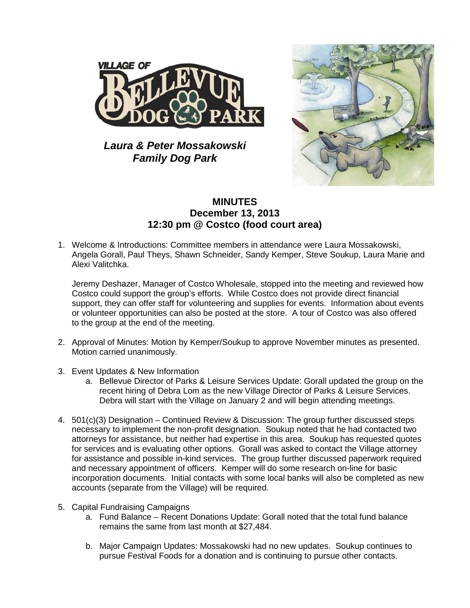

*Laura & Peter Mossakowski Family Dog Park*



## **MINUTES December 13, 2013 12:30 pm @ Costco (food court area)**

1. Welcome & Introductions: Committee members in attendance were Laura Mossakowski, Angela Gorall, Paul Theys, Shawn Schneider, Sandy Kemper, Steve Soukup, Laura Marie and Alexi Valitchka.

Jeremy Deshazer, Manager of Costco Wholesale, stopped into the meeting and reviewed how Costco could support the group's efforts. While Costco does not provide direct financial support, they can offer staff for volunteering and supplies for events. Information about events or volunteer opportunities can also be posted at the store. A tour of Costco was also offered to the group at the end of the meeting.

- 2. Approval of Minutes: Motion by Kemper/Soukup to approve November minutes as presented. Motion carried unanimously.
- 3. Event Updates & New Information
	- a. Bellevue Director of Parks & Leisure Services Update: Gorall updated the group on the recent hiring of Debra Lom as the new Village Director of Parks & Leisure Services. Debra will start with the Village on January 2 and will begin attending meetings.
- 4. 501(c)(3) Designation Continued Review & Discussion: The group further discussed steps necessary to implement the non-profit designation. Soukup noted that he had contacted two attorneys for assistance, but neither had expertise in this area. Soukup has requested quotes for services and is evaluating other options. Gorall was asked to contact the Village attorney for assistance and possible in-kind services. The group further discussed paperwork required and necessary appointment of officers. Kemper will do some research on-line for basic incorporation documents. Initial contacts with some local banks will also be completed as new accounts (separate from the Village) will be required.
- 5. Capital Fundraising Campaigns
	- a. Fund Balance Recent Donations Update: Gorall noted that the total fund balance remains the same from last month at \$27,484.
	- b. Major Campaign Updates: Mossakowski had no new updates. Soukup continues to pursue Festival Foods for a donation and is continuing to pursue other contacts.